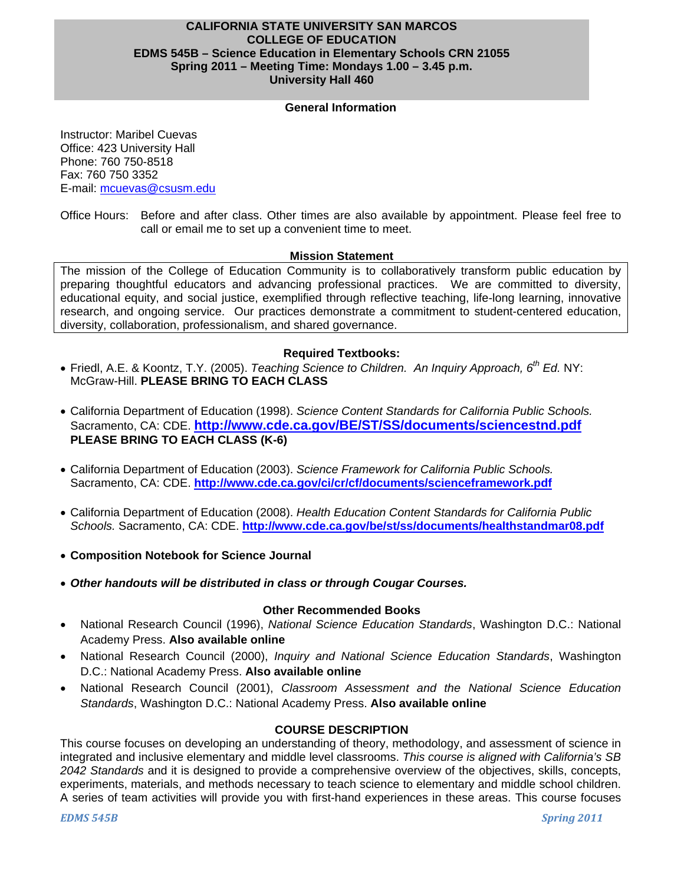## **CALIFORNIA STATE UNIVERSITY SAN MARCOS COLLEGE OF EDUCATION EDMS 545B – Science Education in Elementary Schools CRN 21055 Spring 2011 – Meeting Time: Mondays 1.00 – 3.45 p.m. University Hall 460**

#### **General Information**

Instructor: Maribel Cuevas Office: 423 University Hall Phone: 760 750-8518 Fax: 760 750 3352 E-mail: mcuevas@csusm.edu

Office Hours: Before and after class. Other times are also available by appointment. Please feel free to call or email me to set up a convenient time to meet.

#### **Mission Statement**

The mission of the College of Education Community is to collaboratively transform public education by preparing thoughtful educators and advancing professional practices. We are committed to diversity, educational equity, and social justice, exemplified through reflective teaching, life-long learning, innovative research, and ongoing service. Our practices demonstrate a commitment to student-centered education, diversity, collaboration, professionalism, and shared governance.

#### **Required Textbooks:**

- Friedl, A.E. & Koontz, T.Y. (2005). *Teaching Science to Children. An Inquiry Approach, 6th Ed.* NY: McGraw-Hill. **PLEASE BRING TO EACH CLASS**
- California Department of Education (1998). *Science Content Standards for California Public Schools.*  Sacramento, CA: CDE. **http://www.cde.ca.gov/BE/ST/SS/documents/sciencestnd.pdf PLEASE BRING TO EACH CLASS (K-6)**
- California Department of Education (2003). *Science Framework for California Public Schools.*  Sacramento, CA: CDE. **http://www.cde.ca.gov/ci/cr/cf/documents/scienceframework.pdf**
- California Department of Education (2008). *Health Education Content Standards for California Public Schools.* Sacramento, CA: CDE. **http://www.cde.ca.gov/be/st/ss/documents/healthstandmar08.pdf**
- **Composition Notebook for Science Journal**
- *Other handouts will be distributed in class or through Cougar Courses.*

#### **Other Recommended Books**

- National Research Council (1996), *National Science Education Standards*, Washington D.C.: National Academy Press. **Also available online**
- National Research Council (2000), *Inquiry and National Science Education Standards*, Washington D.C.: National Academy Press. **Also available online**
- National Research Council (2001), *Classroom Assessment and the National Science Education Standards*, Washington D.C.: National Academy Press. **Also available online**

#### **COURSE DESCRIPTION**

This course focuses on developing an understanding of theory, methodology, and assessment of science in integrated and inclusive elementary and middle level classrooms. *This course is aligned with California's SB 2042 Standards* and it is designed to provide a comprehensive overview of the objectives, skills, concepts, experiments, materials, and methods necessary to teach science to elementary and middle school children. A series of team activities will provide you with first-hand experiences in these areas. This course focuses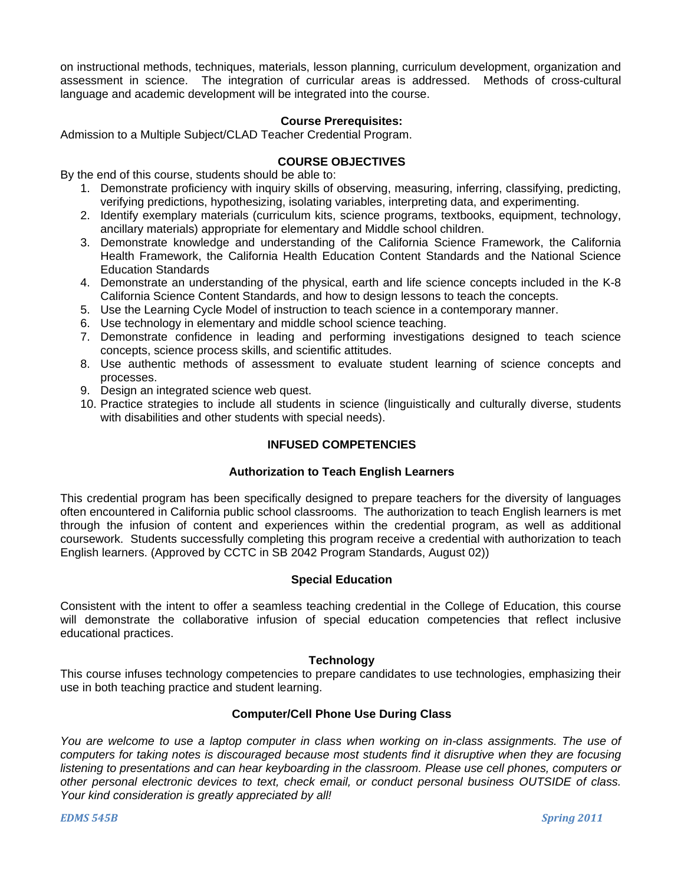on instructional methods, techniques, materials, lesson planning, curriculum development, organization and assessment in science. The integration of curricular areas is addressed. Methods of cross-cultural language and academic development will be integrated into the course.

#### **Course Prerequisites:**

Admission to a Multiple Subject/CLAD Teacher Credential Program.

#### **COURSE OBJECTIVES**

By the end of this course, students should be able to:

- 1. Demonstrate proficiency with inquiry skills of observing, measuring, inferring, classifying, predicting, verifying predictions, hypothesizing, isolating variables, interpreting data, and experimenting.
- 2. Identify exemplary materials (curriculum kits, science programs, textbooks, equipment, technology, ancillary materials) appropriate for elementary and Middle school children.
- 3. Demonstrate knowledge and understanding of the California Science Framework, the California Health Framework, the California Health Education Content Standards and the National Science Education Standards
- 4. Demonstrate an understanding of the physical, earth and life science concepts included in the K-8 California Science Content Standards, and how to design lessons to teach the concepts.
- 5. Use the Learning Cycle Model of instruction to teach science in a contemporary manner.
- 6. Use technology in elementary and middle school science teaching.
- 7. Demonstrate confidence in leading and performing investigations designed to teach science concepts, science process skills, and scientific attitudes.
- 8. Use authentic methods of assessment to evaluate student learning of science concepts and processes.
- 9. Design an integrated science web quest.
- 10. Practice strategies to include all students in science (linguistically and culturally diverse, students with disabilities and other students with special needs).

## **INFUSED COMPETENCIES**

#### **Authorization to Teach English Learners**

This credential program has been specifically designed to prepare teachers for the diversity of languages often encountered in California public school classrooms. The authorization to teach English learners is met through the infusion of content and experiences within the credential program, as well as additional coursework. Students successfully completing this program receive a credential with authorization to teach English learners. (Approved by CCTC in SB 2042 Program Standards, August 02))

#### **Special Education**

Consistent with the intent to offer a seamless teaching credential in the College of Education, this course will demonstrate the collaborative infusion of special education competencies that reflect inclusive educational practices.

#### **Technology**

This course infuses technology competencies to prepare candidates to use technologies, emphasizing their use in both teaching practice and student learning.

## **Computer/Cell Phone Use During Class**

*You are welcome to use a laptop computer in class when working on in-class assignments. The use of computers for taking notes is discouraged because most students find it disruptive when they are focusing listening to presentations and can hear keyboarding in the classroom. Please use cell phones, computers or other personal electronic devices to text, check email, or conduct personal business OUTSIDE of class. Your kind consideration is greatly appreciated by all!*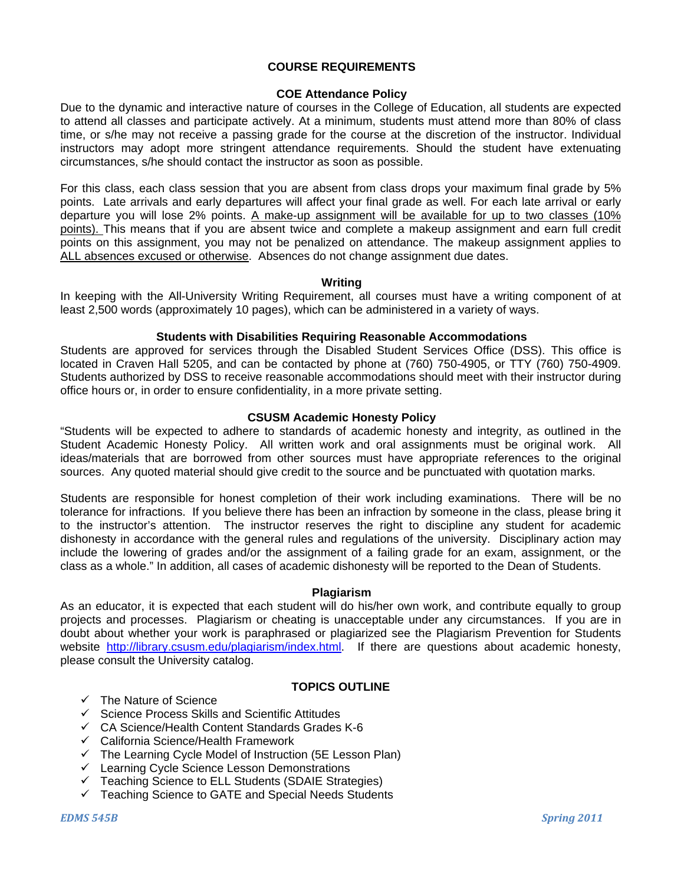#### **COURSE REQUIREMENTS**

## **COE Attendance Policy**

Due to the dynamic and interactive nature of courses in the College of Education, all students are expected to attend all classes and participate actively. At a minimum, students must attend more than 80% of class time, or s/he may not receive a passing grade for the course at the discretion of the instructor. Individual instructors may adopt more stringent attendance requirements. Should the student have extenuating circumstances, s/he should contact the instructor as soon as possible.

For this class, each class session that you are absent from class drops your maximum final grade by 5% points. Late arrivals and early departures will affect your final grade as well. For each late arrival or early departure you will lose 2% points. A make-up assignment will be available for up to two classes (10% points). This means that if you are absent twice and complete a makeup assignment and earn full credit points on this assignment, you may not be penalized on attendance. The makeup assignment applies to ALL absences excused or otherwise. Absences do not change assignment due dates.

#### **Writing**

In keeping with the All-University Writing Requirement, all courses must have a writing component of at least 2,500 words (approximately 10 pages), which can be administered in a variety of ways.

#### **Students with Disabilities Requiring Reasonable Accommodations**

Students are approved for services through the Disabled Student Services Office (DSS). This office is located in Craven Hall 5205, and can be contacted by phone at (760) 750-4905, or TTY (760) 750-4909. Students authorized by DSS to receive reasonable accommodations should meet with their instructor during office hours or, in order to ensure confidentiality, in a more private setting.

#### **CSUSM Academic Honesty Policy**

"Students will be expected to adhere to standards of academic honesty and integrity, as outlined in the Student Academic Honesty Policy. All written work and oral assignments must be original work. All ideas/materials that are borrowed from other sources must have appropriate references to the original sources. Any quoted material should give credit to the source and be punctuated with quotation marks.

Students are responsible for honest completion of their work including examinations. There will be no tolerance for infractions. If you believe there has been an infraction by someone in the class, please bring it to the instructor's attention. The instructor reserves the right to discipline any student for academic dishonesty in accordance with the general rules and regulations of the university. Disciplinary action may include the lowering of grades and/or the assignment of a failing grade for an exam, assignment, or the class as a whole." In addition, all cases of academic dishonesty will be reported to the Dean of Students.

#### **Plagiarism**

As an educator, it is expected that each student will do his/her own work, and contribute equally to group projects and processes. Plagiarism or cheating is unacceptable under any circumstances. If you are in doubt about whether your work is paraphrased or plagiarized see the Plagiarism Prevention for Students website http://library.csusm.edu/plagiarism/index.html. If there are questions about academic honesty, please consult the University catalog.

#### **TOPICS OUTLINE**

- $\checkmark$  The Nature of Science
- $\checkmark$  Science Process Skills and Scientific Attitudes
- $\checkmark$  CA Science/Health Content Standards Grades K-6
- $\checkmark$  California Science/Health Framework
- $\checkmark$  The Learning Cycle Model of Instruction (5E Lesson Plan)
- $\checkmark$  Learning Cycle Science Lesson Demonstrations
- $\checkmark$  Teaching Science to ELL Students (SDAIE Strategies)
- $\checkmark$  Teaching Science to GATE and Special Needs Students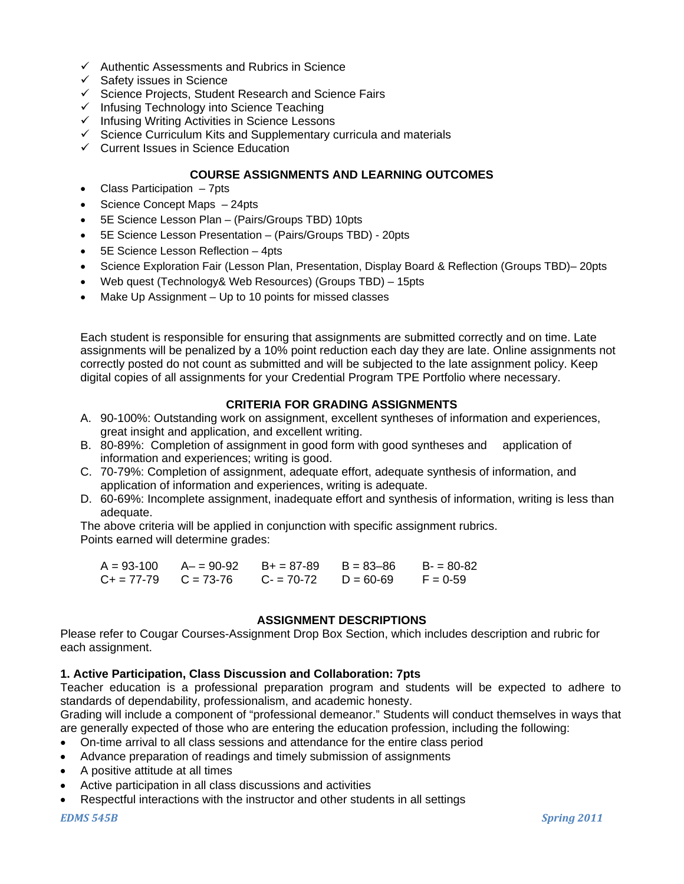- $\checkmark$  Authentic Assessments and Rubrics in Science
- $\checkmark$  Safety issues in Science
- $\checkmark$  Science Projects, Student Research and Science Fairs
- $\checkmark$  Infusing Technology into Science Teaching
- $\checkmark$  Infusing Writing Activities in Science Lessons
- $\checkmark$  Science Curriculum Kits and Supplementary curricula and materials
- $\checkmark$  Current Issues in Science Education

## **COURSE ASSIGNMENTS AND LEARNING OUTCOMES**

- Class Participation 7pts
- Science Concept Maps 24pts
- 5E Science Lesson Plan (Pairs/Groups TBD) 10pts
- 5E Science Lesson Presentation (Pairs/Groups TBD) 20pts
- 5E Science Lesson Reflection 4pts
- Science Exploration Fair (Lesson Plan, Presentation, Display Board & Reflection (Groups TBD)– 20pts
- Web quest (Technology& Web Resources) (Groups TBD) 15pts
- Make Up Assignment Up to 10 points for missed classes

Each student is responsible for ensuring that assignments are submitted correctly and on time. Late assignments will be penalized by a 10% point reduction each day they are late. Online assignments not correctly posted do not count as submitted and will be subjected to the late assignment policy. Keep digital copies of all assignments for your Credential Program TPE Portfolio where necessary.

## **CRITERIA FOR GRADING ASSIGNMENTS**

- A. 90-100%: Outstanding work on assignment, excellent syntheses of information and experiences, great insight and application, and excellent writing.
- B. 80-89%: Completion of assignment in good form with good syntheses and application of information and experiences; writing is good.
- C. 70-79%: Completion of assignment, adequate effort, adequate synthesis of information, and application of information and experiences, writing is adequate.
- D. 60-69%: Incomplete assignment, inadequate effort and synthesis of information, writing is less than adequate.

The above criteria will be applied in conjunction with specific assignment rubrics. Points earned will determine grades:

| $A = 93 - 100$            | A- = 90-92 B+ = 87-89 | $B = 83 - 86$ | $B = 80-82$ |
|---------------------------|-----------------------|---------------|-------------|
| $C_+ = 77-79$ $C = 73-76$ | $C = 70-72$           | $D = 60-69$   | $F = 0.59$  |

#### **ASSIGNMENT DESCRIPTIONS**

Please refer to Cougar Courses-Assignment Drop Box Section, which includes description and rubric for each assignment.

#### **1. Active Participation, Class Discussion and Collaboration: 7pts**

Teacher education is a professional preparation program and students will be expected to adhere to standards of dependability, professionalism, and academic honesty.

Grading will include a component of "professional demeanor." Students will conduct themselves in ways that are generally expected of those who are entering the education profession, including the following:

- On-time arrival to all class sessions and attendance for the entire class period
- Advance preparation of readings and timely submission of assignments
- A positive attitude at all times
- Active participation in all class discussions and activities
- Respectful interactions with the instructor and other students in all settings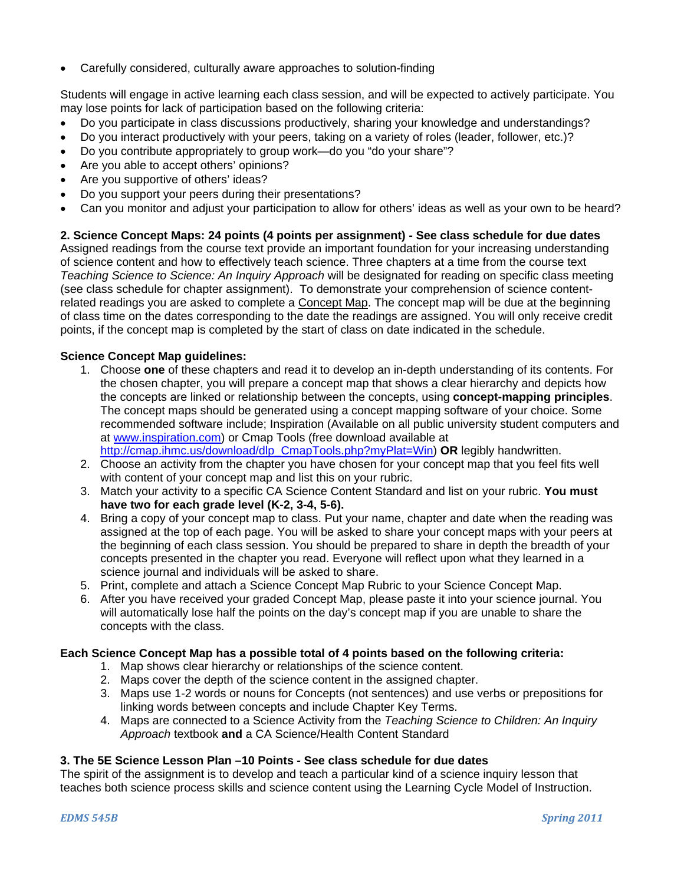Carefully considered, culturally aware approaches to solution-finding

Students will engage in active learning each class session, and will be expected to actively participate. You may lose points for lack of participation based on the following criteria:

- Do you participate in class discussions productively, sharing your knowledge and understandings?
- Do you interact productively with your peers, taking on a variety of roles (leader, follower, etc.)?
- Do you contribute appropriately to group work—do you "do your share"?
- Are you able to accept others' opinions?
- Are you supportive of others' ideas?
- Do you support your peers during their presentations?
- Can you monitor and adjust your participation to allow for others' ideas as well as your own to be heard?

## **2. Science Concept Maps: 24 points (4 points per assignment) - See class schedule for due dates**

Assigned readings from the course text provide an important foundation for your increasing understanding of science content and how to effectively teach science. Three chapters at a time from the course text *Teaching Science to Science: An Inquiry Approach* will be designated for reading on specific class meeting (see class schedule for chapter assignment). To demonstrate your comprehension of science contentrelated readings you are asked to complete a Concept Map. The concept map will be due at the beginning of class time on the dates corresponding to the date the readings are assigned. You will only receive credit points, if the concept map is completed by the start of class on date indicated in the schedule.

## **Science Concept Map guidelines:**

- 1. Choose **one** of these chapters and read it to develop an in-depth understanding of its contents. For the chosen chapter, you will prepare a concept map that shows a clear hierarchy and depicts how the concepts are linked or relationship between the concepts, using **concept-mapping principles**. The concept maps should be generated using a concept mapping software of your choice. Some recommended software include; Inspiration (Available on all public university student computers and at www.inspiration.com) or Cmap Tools (free download available at http://cmap.ihmc.us/download/dlp\_CmapTools.php?myPlat=Win) **OR** legibly handwritten.
- 2. Choose an activity from the chapter you have chosen for your concept map that you feel fits well with content of your concept map and list this on your rubric.
- 3. Match your activity to a specific CA Science Content Standard and list on your rubric. **You must have two for each grade level (K-2, 3-4, 5-6).**
- 4. Bring a copy of your concept map to class. Put your name, chapter and date when the reading was assigned at the top of each page. You will be asked to share your concept maps with your peers at the beginning of each class session. You should be prepared to share in depth the breadth of your concepts presented in the chapter you read. Everyone will reflect upon what they learned in a science journal and individuals will be asked to share.
- 5. Print, complete and attach a Science Concept Map Rubric to your Science Concept Map.
- 6. After you have received your graded Concept Map, please paste it into your science journal. You will automatically lose half the points on the day's concept map if you are unable to share the concepts with the class.

## **Each Science Concept Map has a possible total of 4 points based on the following criteria:**

- 1. Map shows clear hierarchy or relationships of the science content.
- 2. Maps cover the depth of the science content in the assigned chapter.
- 3. Maps use 1-2 words or nouns for Concepts (not sentences) and use verbs or prepositions for linking words between concepts and include Chapter Key Terms.
- 4. Maps are connected to a Science Activity from the *Teaching Science to Children: An Inquiry Approach* textbook **and** a CA Science/Health Content Standard

## **3. The 5E Science Lesson Plan –10 Points** *-* **See class schedule for due dates**

The spirit of the assignment is to develop and teach a particular kind of a science inquiry lesson that teaches both science process skills and science content using the Learning Cycle Model of Instruction.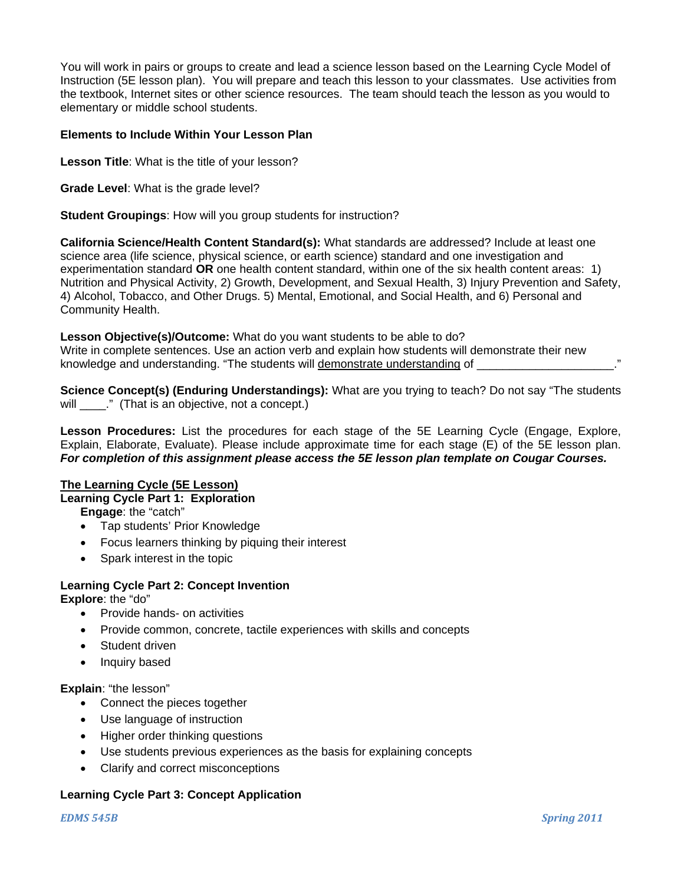You will work in pairs or groups to create and lead a science lesson based on the Learning Cycle Model of Instruction (5E lesson plan). You will prepare and teach this lesson to your classmates. Use activities from the textbook, Internet sites or other science resources. The team should teach the lesson as you would to elementary or middle school students.

#### **Elements to Include Within Your Lesson Plan**

**Lesson Title**: What is the title of your lesson?

**Grade Level**: What is the grade level?

**Student Groupings**: How will you group students for instruction?

**California Science/Health Content Standard(s):** What standards are addressed? Include at least one science area (life science, physical science, or earth science) standard and one investigation and experimentation standard **OR** one health content standard, within one of the six health content areas: 1) Nutrition and Physical Activity, 2) Growth, Development, and Sexual Health, 3) Injury Prevention and Safety, 4) Alcohol, Tobacco, and Other Drugs. 5) Mental, Emotional, and Social Health, and 6) Personal and Community Health.

**Lesson Objective(s)/Outcome:** What do you want students to be able to do? Write in complete sentences. Use an action verb and explain how students will demonstrate their new knowledge and understanding. "The students will demonstrate understanding of

**Science Concept(s) (Enduring Understandings):** What are you trying to teach? Do not say "The students will \_\_\_\_." (That is an objective, not a concept.)

 Explain, Elaborate, Evaluate). Please include approximate time for each stage (E) of the 5E lesson plan. *For completion of this assignment please access the 5E lesson plan template on Cougar Courses.* **Lesson Procedures:** List the procedures for each stage of the 5E Learning Cycle (Engage, Explore,

## **The Learning Cycle (5E Lesson)**

**Learning Cycle Part 1: Exploration** 

**Engage**: the "catch"

- Tap students' Prior Knowledge
- Focus learners thinking by piquing their interest
- Spark interest in the topic

## **Learning Cycle Part 2: Concept Invention**

**Explore**: the "do"

- Provide hands- on activities
- Provide common, concrete, tactile experiences with skills and concepts
- Student driven
- Inquiry based

**Explain**: "the lesson"

- Connect the pieces together
- Use language of instruction
- Higher order thinking questions
- Use students previous experiences as the basis for explaining concepts
- Clarify and correct misconceptions

## **Learning Cycle Part 3: Concept Application**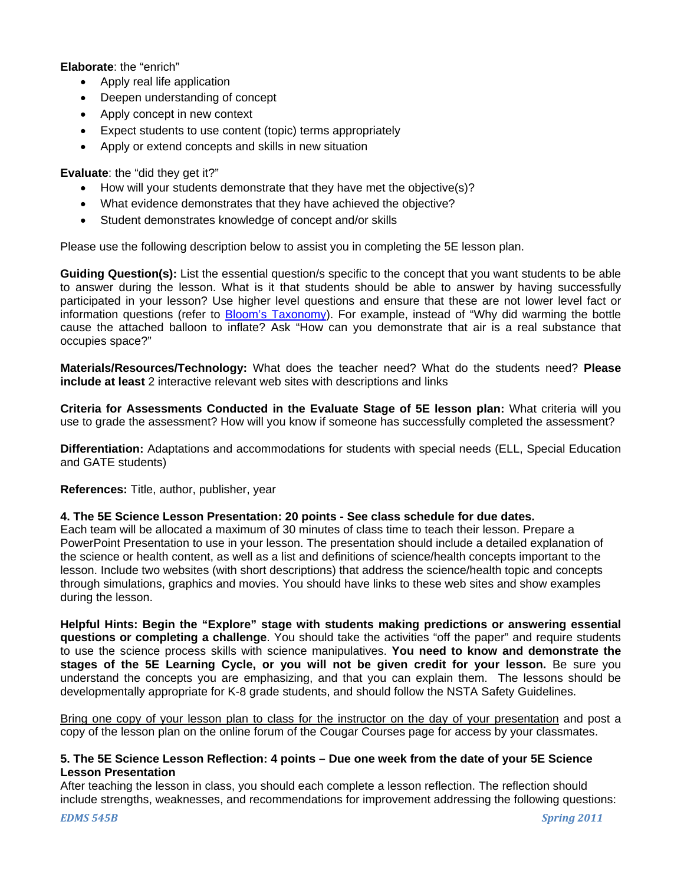**Elaborate**: the "enrich"

- Apply real life application
- Deepen understanding of concept
- Apply concept in new context
- Expect students to use content (topic) terms appropriately
- Apply or extend concepts and skills in new situation

**Evaluate**: the "did they get it?"

- How will your students demonstrate that they have met the objective(s)?
- What evidence demonstrates that they have achieved the objective?
- Student demonstrates knowledge of concept and/or skills

Please use the following description below to assist you in completing the 5E lesson plan.

**Guiding Question(s):** List the essential question/s specific to the concept that you want students to be able to answer during the lesson. What is it that students should be able to answer by having successfully participated in your lesson? Use higher level questions and ensure that these are not lower level fact or information questions (refer to Bloom's Taxonomy). For example, instead of "Why did warming the bottle cause the attached balloon to inflate? Ask "How can you demonstrate that air is a real substance that occupies space?"

**Materials/Resources/Technology:** What does the teacher need? What do the students need? **Please include at least** 2 interactive relevant web sites with descriptions and links

**Criteria for Assessments Conducted in the Evaluate Stage of 5E lesson plan:** What criteria will you use to grade the assessment? How will you know if someone has successfully completed the assessment?

**Differentiation:** Adaptations and accommodations for students with special needs (ELL, Special Education and GATE students)

**References:** Title, author, publisher, year

#### **4. The 5E Science Lesson Presentation: 20 points - See class schedule for due dates.**

Each team will be allocated a maximum of 30 minutes of class time to teach their lesson. Prepare a PowerPoint Presentation to use in your lesson. The presentation should include a detailed explanation of the science or health content, as well as a list and definitions of science/health concepts important to the lesson. Include two websites (with short descriptions) that address the science/health topic and concepts through simulations, graphics and movies. You should have links to these web sites and show examples during the lesson.

**Helpful Hints: Begin the "Explore" stage with students making predictions or answering essential questions or completing a challenge**. You should take the activities "off the paper" and require students to use the science process skills with science manipulatives. **You need to know and demonstrate the stages of the 5E Learning Cycle, or you will not be given credit for your lesson.** Be sure you understand the concepts you are emphasizing, and that you can explain them. The lessons should be developmentally appropriate for K-8 grade students, and should follow the NSTA Safety Guidelines.

Bring one copy of your lesson plan to class for the instructor on the day of your presentation and post a copy of the lesson plan on the online forum of the Cougar Courses page for access by your classmates.

#### **5. The 5E Science Lesson Reflection: 4 points – Due one week from the date of your 5E Science Lesson Presentation**

After teaching the lesson in class, you should each complete a lesson reflection. The reflection should include strengths, weaknesses, and recommendations for improvement addressing the following questions: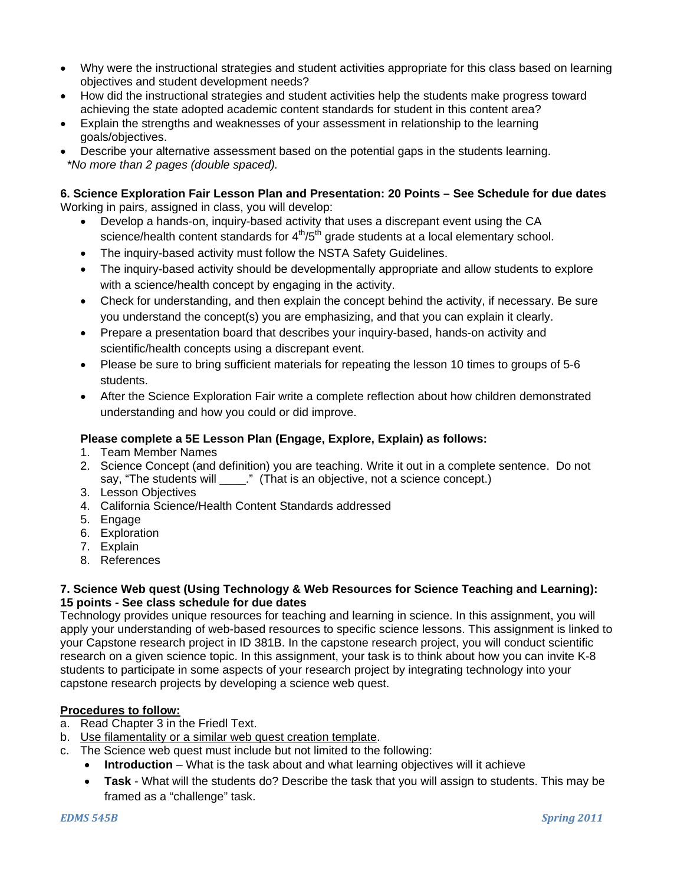- Why were the instructional strategies and student activities appropriate for this class based on learning objectives and student development needs?
- How did the instructional strategies and student activities help the students make progress toward achieving the state adopted academic content standards for student in this content area?
- Explain the strengths and weaknesses of your assessment in relationship to the learning goals/objectives.
- Describe your alternative assessment based on the potential gaps in the students learning. *\*No more than 2 pages (double spaced).*

#### **6. Science Exploration Fair Lesson Plan and Presentation: 20 Points – See Schedule for due dates**  Working in pairs, assigned in class, you will develop:

- Develop a hands-on, inquiry-based activity that uses a discrepant event using the CA science/health content standards for  $4<sup>th</sup>/5<sup>th</sup>$  grade students at a local elementary school.
- The inquiry-based activity must follow the NSTA Safety Guidelines.
- The inquiry-based activity should be developmentally appropriate and allow students to explore with a science/health concept by engaging in the activity.
- Check for understanding, and then explain the concept behind the activity, if necessary. Be sure you understand the concept(s) you are emphasizing, and that you can explain it clearly.
- Prepare a presentation board that describes your inquiry-based, hands-on activity and scientific/health concepts using a discrepant event.
- Please be sure to bring sufficient materials for repeating the lesson 10 times to groups of 5-6 students.
- After the Science Exploration Fair write a complete reflection about how children demonstrated understanding and how you could or did improve.

## **Please complete a 5E Lesson Plan (Engage, Explore, Explain) as follows:**

- 1. Team Member Names
- 2. Science Concept (and definition) you are teaching. Write it out in a complete sentence. Do not say, "The students will \_\_\_\_." (That is an objective, not a science concept.)
- 3. Lesson Objectives
- 4. California Science/Health Content Standards addressed
- 5. Engage
- 6. Exploration
- 7. Explain
- 8. References

## **7. Science Web quest (Using Technology & Web Resources for Science Teaching and Learning): 15 points - See class schedule for due dates**

Technology provides unique resources for teaching and learning in science. In this assignment, you will apply your understanding of web-based resources to specific science lessons. This assignment is linked to your Capstone research project in ID 381B. In the capstone research project, you will conduct scientific research on a given science topic. In this assignment, your task is to think about how you can invite K-8 students to participate in some aspects of your research project by integrating technology into your capstone research projects by developing a science web quest.

## **Procedures to follow:**

- a. Read Chapter 3 in the Friedl Text.
- b. Use filamentality or a similar web quest creation template.
- c. The Science web quest must include but not limited to the following:
	- **Introduction** What is the task about and what learning objectives will it achieve
	- **Task** What will the students do? Describe the task that you will assign to students. This may be framed as a "challenge" task.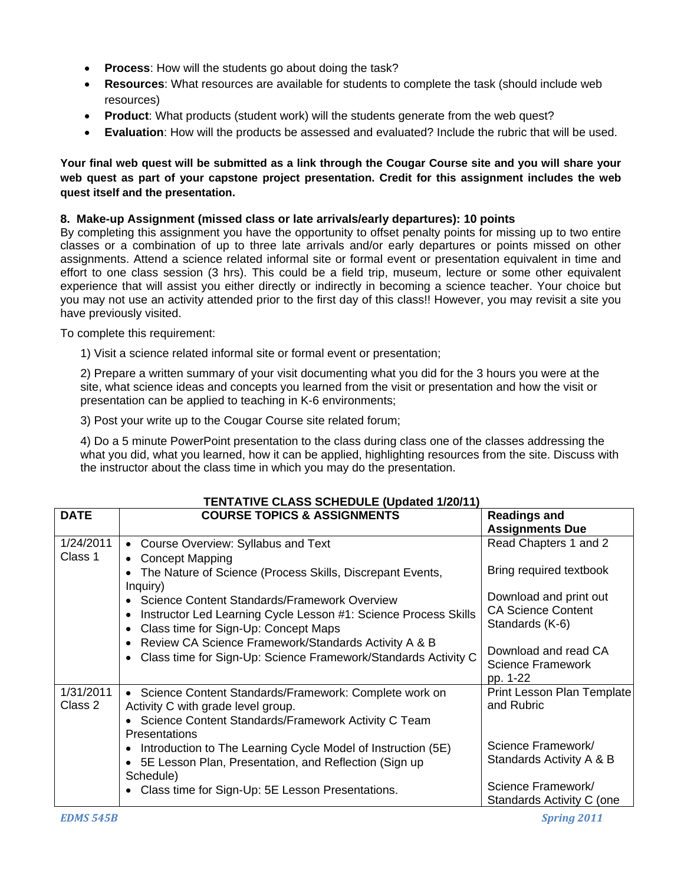- **Process**: How will the students go about doing the task?
- **Resources**: What resources are available for students to complete the task (should include web resources)
- **Product**: What products (student work) will the students generate from the web quest?
- **Evaluation**: How will the products be assessed and evaluated? Include the rubric that will be used.

## **web quest as part of your capstone project presentation. Credit for this assignment includes the web Your final web quest will be submitted as a link through the Cougar Course site and you will share your quest itself and the presentation.**

## **8. Make-up Assignment (missed class or late arrivals/early departures): 10 points**

By completing this assignment you have the opportunity to offset penalty points for missing up to two entire classes or a combination of up to three late arrivals and/or early departures or points missed on other assignments. Attend a science related informal site or formal event or presentation equivalent in time and effort to one class session (3 hrs). This could be a field trip, museum, lecture or some other equivalent experience that will assist you either directly or indirectly in becoming a science teacher. Your choice but you may not use an activity attended prior to the first day of this class!! However, you may revisit a site you have previously visited.

To complete this requirement:

1) Visit a science related informal site or formal event or presentation;

2) Prepare a written summary of your visit documenting what you did for the 3 hours you were at the site, what science ideas and concepts you learned from the visit or presentation and how the visit or presentation can be applied to teaching in K-6 environments;

3) Post your write up to the Cougar Course site related forum;

4) Do a 5 minute PowerPoint presentation to the class during class one of the classes addressing the what you did, what you learned, how it can be applied, highlighting resources from the site. Discuss with the instructor about the class time in which you may do the presentation.

| <b>DATE</b>          | <b>COURSE TOPICS &amp; ASSIGNMENTS</b>                                                                                                                                   | <b>Readings and</b><br><b>Assignments Due</b>                          |
|----------------------|--------------------------------------------------------------------------------------------------------------------------------------------------------------------------|------------------------------------------------------------------------|
| 1/24/2011<br>Class 1 | • Course Overview: Syllabus and Text<br>• Concept Mapping                                                                                                                | Read Chapters 1 and 2                                                  |
|                      | The Nature of Science (Process Skills, Discrepant Events,<br>Inquiry)                                                                                                    | Bring required textbook                                                |
|                      | • Science Content Standards/Framework Overview<br>Instructor Led Learning Cycle Lesson #1: Science Process Skills<br>$\bullet$<br>• Class time for Sign-Up: Concept Maps | Download and print out<br><b>CA Science Content</b><br>Standards (K-6) |
|                      | • Review CA Science Framework/Standards Activity A & B<br>• Class time for Sign-Up: Science Framework/Standards Activity C                                               | Download and read CA<br><b>Science Framework</b><br>pp. 1-22           |
| 1/31/2011<br>Class 2 | • Science Content Standards/Framework: Complete work on<br>Activity C with grade level group.<br>• Science Content Standards/Framework Activity C Team<br>Presentations  | Print Lesson Plan Template<br>and Rubric                               |
|                      | • Introduction to The Learning Cycle Model of Instruction (5E)<br>• 5E Lesson Plan, Presentation, and Reflection (Sign up)<br>Schedule)                                  | Science Framework/<br>Standards Activity A & B                         |
|                      | • Class time for Sign-Up: 5E Lesson Presentations.                                                                                                                       | Science Framework/<br>Standards Activity C (one                        |

## **TENTATIVE CLASS SCHEDULE (Updated 1/20/11)**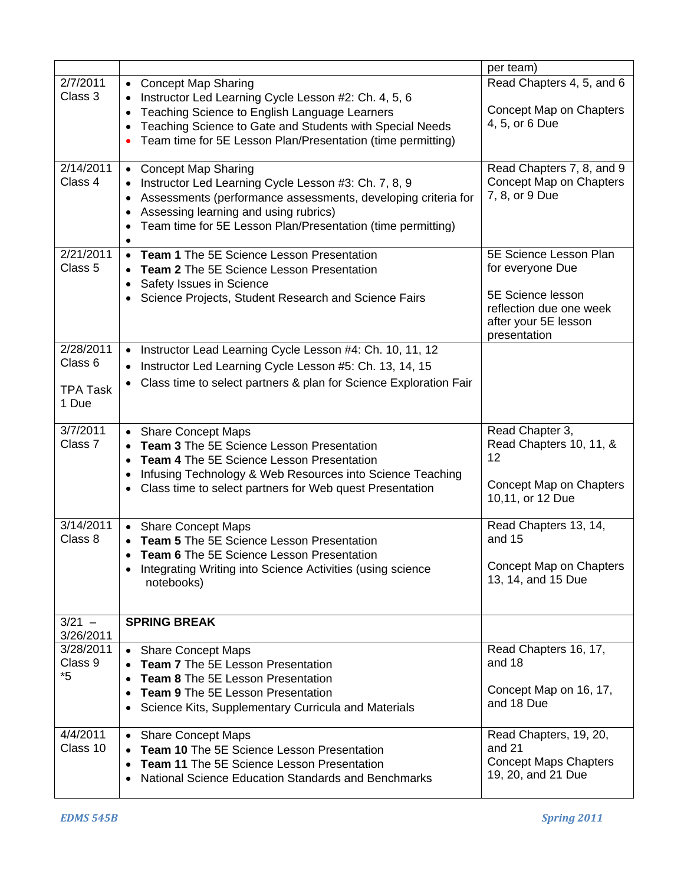|                       |                                                                                                                                                 | per team)                                            |
|-----------------------|-------------------------------------------------------------------------------------------------------------------------------------------------|------------------------------------------------------|
| 2/7/2011              | • Concept Map Sharing                                                                                                                           | Read Chapters 4, 5, and 6                            |
| Class 3               | Instructor Led Learning Cycle Lesson #2: Ch. 4, 5, 6                                                                                            |                                                      |
|                       | Teaching Science to English Language Learners                                                                                                   | Concept Map on Chapters                              |
|                       | Teaching Science to Gate and Students with Special Needs<br>$\bullet$                                                                           | 4, 5, or 6 Due                                       |
|                       | Team time for 5E Lesson Plan/Presentation (time permitting)                                                                                     |                                                      |
| 2/14/2011             |                                                                                                                                                 |                                                      |
| Class 4               | <b>Concept Map Sharing</b><br>$\bullet$<br>Instructor Led Learning Cycle Lesson #3: Ch. 7, 8, 9                                                 | Read Chapters 7, 8, and 9<br>Concept Map on Chapters |
|                       | Assessments (performance assessments, developing criteria for                                                                                   | 7, 8, or 9 Due                                       |
|                       | Assessing learning and using rubrics)<br>$\bullet$                                                                                              |                                                      |
|                       | Team time for 5E Lesson Plan/Presentation (time permitting)                                                                                     |                                                      |
|                       | $\bullet$                                                                                                                                       |                                                      |
| 2/21/2011             | Team 1 The 5E Science Lesson Presentation<br>$\bullet$                                                                                          | 5E Science Lesson Plan                               |
| Class 5               | Team 2 The 5E Science Lesson Presentation<br>$\bullet$                                                                                          | for everyone Due                                     |
|                       | Safety Issues in Science<br>$\bullet$                                                                                                           | 5E Science lesson                                    |
|                       | • Science Projects, Student Research and Science Fairs                                                                                          | reflection due one week                              |
|                       |                                                                                                                                                 | after your 5E lesson                                 |
|                       |                                                                                                                                                 | presentation                                         |
| 2/28/2011             | • Instructor Lead Learning Cycle Lesson #4: Ch. 10, 11, 12                                                                                      |                                                      |
| Class 6               | Instructor Led Learning Cycle Lesson #5: Ch. 13, 14, 15                                                                                         |                                                      |
| <b>TPA Task</b>       | Class time to select partners & plan for Science Exploration Fair<br>$\bullet$                                                                  |                                                      |
| 1 Due                 |                                                                                                                                                 |                                                      |
|                       |                                                                                                                                                 |                                                      |
| 3/7/2011              | • Share Concept Maps                                                                                                                            | Read Chapter 3,                                      |
| Class 7               | <b>Team 3</b> The 5E Science Lesson Presentation                                                                                                | Read Chapters 10, 11, &<br>12                        |
|                       | <b>Team 4 The 5E Science Lesson Presentation</b><br>$\bullet$                                                                                   |                                                      |
|                       | Infusing Technology & Web Resources into Science Teaching<br>$\bullet$<br>Class time to select partners for Web quest Presentation<br>$\bullet$ | Concept Map on Chapters                              |
|                       |                                                                                                                                                 | 10,11, or 12 Due                                     |
|                       |                                                                                                                                                 |                                                      |
| 3/14/2011             | • Share Concept Maps                                                                                                                            | Read Chapters 13, 14,<br>and 15                      |
| Class 8               | Team 5 The 5E Science Lesson Presentation<br>Team 6 The 5E Science Lesson Presentation                                                          |                                                      |
|                       | $\bullet$<br>Integrating Writing into Science Activities (using science<br>$\bullet$                                                            | Concept Map on Chapters                              |
|                       | notebooks)                                                                                                                                      | 13, 14, and 15 Due                                   |
|                       |                                                                                                                                                 |                                                      |
|                       |                                                                                                                                                 |                                                      |
| $3/21 -$<br>3/26/2011 | <b>SPRING BREAK</b>                                                                                                                             |                                                      |
| 3/28/2011             | • Share Concept Maps                                                                                                                            | Read Chapters 16, 17,                                |
| Class 9               | <b>Team 7</b> The 5E Lesson Presentation                                                                                                        | and 18                                               |
| $*5$                  | Team 8 The 5E Lesson Presentation<br>$\bullet$                                                                                                  |                                                      |
|                       | <b>Team 9 The 5E Lesson Presentation</b><br>$\bullet$                                                                                           | Concept Map on 16, 17,                               |
|                       | Science Kits, Supplementary Curricula and Materials<br>$\bullet$                                                                                | and 18 Due                                           |
| $\frac{4}{4/2011}$    | <b>Share Concept Maps</b><br>$\bullet$                                                                                                          | Read Chapters, 19, 20,                               |
| Class 10              | Team 10 The 5E Science Lesson Presentation                                                                                                      | and 21                                               |
|                       | <b>Team 11</b> The 5E Science Lesson Presentation<br>$\bullet$                                                                                  | <b>Concept Maps Chapters</b>                         |
|                       | National Science Education Standards and Benchmarks<br>$\bullet$                                                                                | 19, 20, and 21 Due                                   |
|                       |                                                                                                                                                 |                                                      |